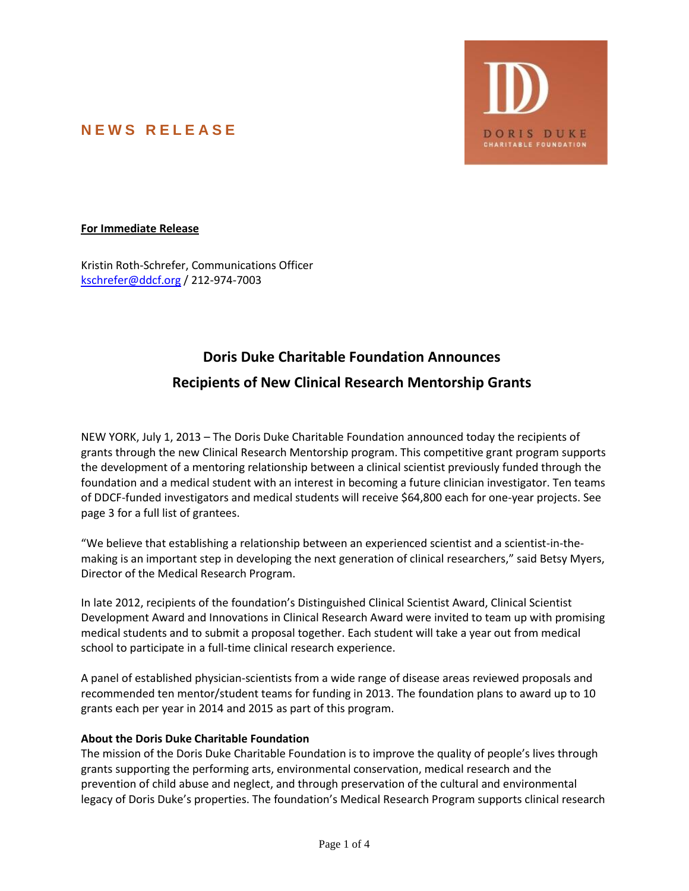# **N E W S R E L E A S E**



### **For Immediate Release**

Kristin Roth-Schrefer, Communications Officer [kschrefer@ddcf.org](mailto:kschrefer@ddcf.org) / 212-974-7003

## **Doris Duke Charitable Foundation Announces**

## **Recipients of New Clinical Research Mentorship Grants**

NEW YORK, July 1, 2013 – The Doris Duke Charitable Foundation announced today the recipients of grants through the new Clinical Research Mentorship program. This competitive grant program supports the development of a mentoring relationship between a clinical scientist previously funded through the foundation and a medical student with an interest in becoming a future clinician investigator. Ten teams of DDCF-funded investigators and medical students will receive \$64,800 each for one-year projects. See page 3 for a full list of grantees.

"We believe that establishing a relationship between an experienced scientist and a scientist-in-themaking is an important step in developing the next generation of clinical researchers," said Betsy Myers, Director of the Medical Research Program.

In late 2012, recipients of the foundation's Distinguished Clinical Scientist Award, Clinical Scientist Development Award and Innovations in Clinical Research Award were invited to team up with promising medical students and to submit a proposal together. Each student will take a year out from medical school to participate in a full-time clinical research experience.

A panel of established physician-scientists from a wide range of disease areas reviewed proposals and recommended ten mentor/student teams for funding in 2013. The foundation plans to award up to 10 grants each per year in 2014 and 2015 as part of this program.

### **About the Doris Duke Charitable Foundation**

The mission of the Doris Duke Charitable Foundation is to improve the quality of people's lives through grants supporting the performing arts, environmental conservation, medical research and the prevention of child abuse and neglect, and through preservation of the cultural and environmental legacy of Doris Duke's properties. The foundation's Medical Research Program supports clinical research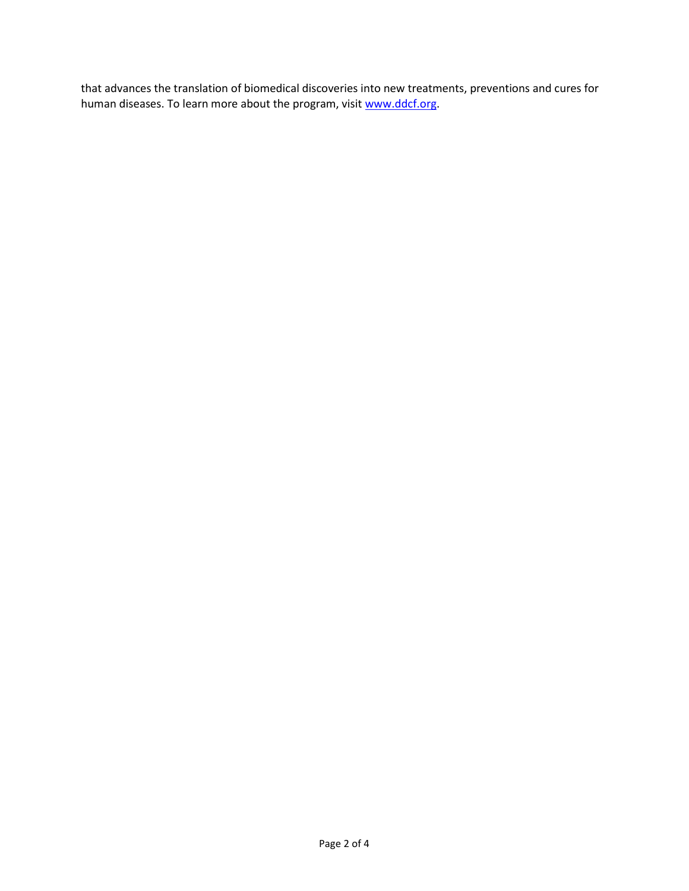that advances the translation of biomedical discoveries into new treatments, preventions and cures for human diseases. To learn more about the program, visit [www.ddcf.org.](http://www.ddcf.org/)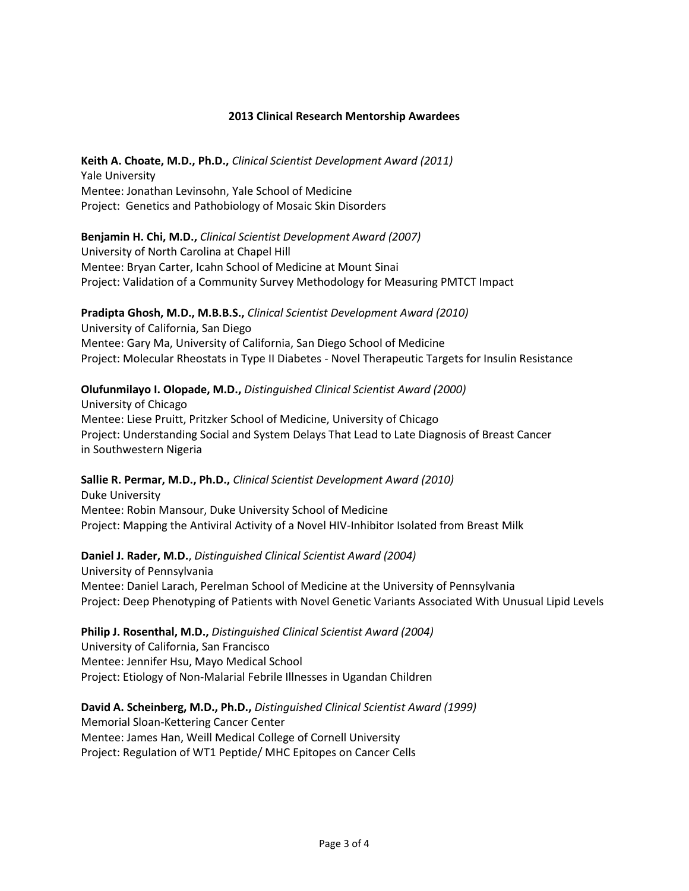#### **2013 Clinical Research Mentorship Awardees**

**Keith A. Choate, M.D., Ph.D.,** *Clinical Scientist Development Award (2011)* Yale University Mentee: Jonathan Levinsohn, Yale School of Medicine Project: Genetics and Pathobiology of Mosaic Skin Disorders

**Benjamin H. Chi, M.D.,** *Clinical Scientist Development Award (2007)* University of North Carolina at Chapel Hill Mentee: Bryan Carter, Icahn School of Medicine at Mount Sinai Project: Validation of a Community Survey Methodology for Measuring PMTCT Impact

**Pradipta Ghosh, M.D., M.B.B.S.,** *Clinical Scientist Development Award (2010)* University of California, San Diego Mentee: Gary Ma, University of California, San Diego School of Medicine Project: Molecular Rheostats in Type II Diabetes - Novel Therapeutic Targets for Insulin Resistance

#### **Olufunmilayo I. Olopade, M.D.,** *Distinguished Clinical Scientist Award (2000)*

University of Chicago Mentee: Liese Pruitt, Pritzker School of Medicine, University of Chicago Project: Understanding Social and System Delays That Lead to Late Diagnosis of Breast Cancer in Southwestern Nigeria

**Sallie R. Permar, M.D., Ph.D.,** *Clinical Scientist Development Award (2010)* Duke University Mentee: Robin Mansour, Duke University School of Medicine Project: Mapping the Antiviral Activity of a Novel HIV-Inhibitor Isolated from Breast Milk

**Daniel J. Rader, M.D.**, *Distinguished Clinical Scientist Award (2004)* University of Pennsylvania Mentee: Daniel Larach, Perelman School of Medicine at the University of Pennsylvania Project: Deep Phenotyping of Patients with Novel Genetic Variants Associated With Unusual Lipid Levels

**Philip J. Rosenthal, M.D.,** *Distinguished Clinical Scientist Award (2004)* University of California, San Francisco Mentee: Jennifer Hsu, Mayo Medical School Project: Etiology of Non-Malarial Febrile Illnesses in Ugandan Children

**David A. Scheinberg, M.D., Ph.D.,** *Distinguished Clinical Scientist Award (1999)* Memorial Sloan-Kettering Cancer Center Mentee: James Han, Weill Medical College of Cornell University Project: Regulation of WT1 Peptide/ MHC Epitopes on Cancer Cells